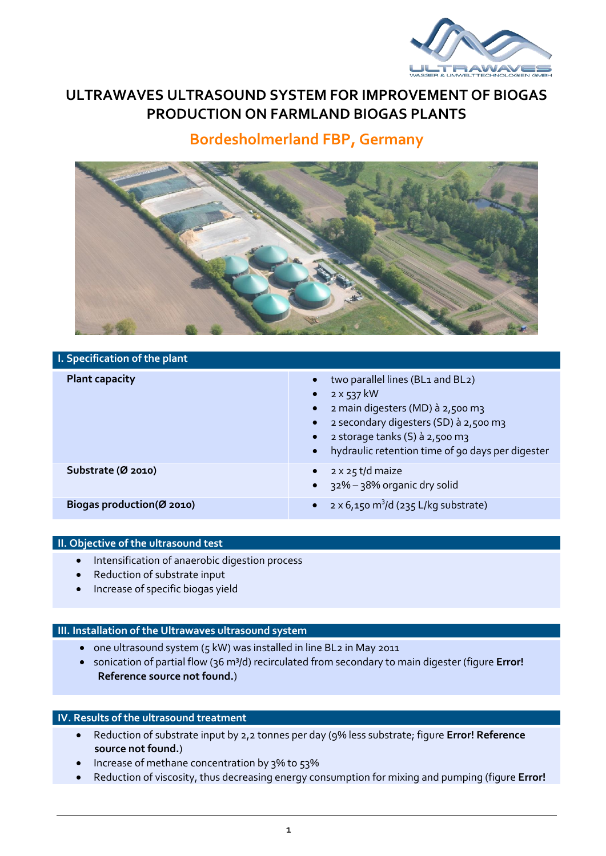

## **ULTRAWAVES ULTRASOUND SYSTEM FOR IMPROVEMENT OF BIOGAS PRODUCTION ON FARMLAND BIOGAS PLANTS**

# **Bordesholmerland FBP, Germany**



### **I. Specification of the plant**

| <b>Plant capacity</b>     | two parallel lines (BL1 and BL2)<br>$2 \times 537$ kW<br>$\bullet$<br>2 main digesters (MD) à 2,500 m3<br>$\bullet$<br>2 secondary digesters (SD) à 2,500 m3<br>2 storage tanks (S) à 2,500 m3<br>$\bullet$<br>hydraulic retention time of 90 days per digester<br>$\bullet$ |
|---------------------------|------------------------------------------------------------------------------------------------------------------------------------------------------------------------------------------------------------------------------------------------------------------------------|
| Substrate (Ø 2010)        | 2 x 25 t/d maize<br>$\bullet$<br>32% - 38% organic dry solid<br>$\bullet$                                                                                                                                                                                                    |
| Biogas production(Ø 2010) | $2 \times 6$ ,150 m <sup>3</sup> /d (235 L/kg substrate)<br>$\bullet$                                                                                                                                                                                                        |

#### **II. Objective of the ultrasound test**

- Intensification of anaerobic digestion process
- Reduction of substrate input
- Increase of specific biogas yield

#### **III. Installation of the Ultrawaves ultrasound system**

- one ultrasound system (5 kW) was installed in line BL2 in May 2011
- **•** sonication of partial flow (36 m<sup>3</sup>/d) recirculated from secondary to main digester (figure **Error! Reference source not found.**)

## **IV. Results of the ultrasound treatment**

- Reduction of substrate input by 2,2 tonnes per day (9% less substrate; figure **Error! Reference source not found.**)
- Increase of methane concentration by 3% to 53%
- Reduction of viscosity, thus decreasing energy consumption for mixing and pumping (figure **Error!**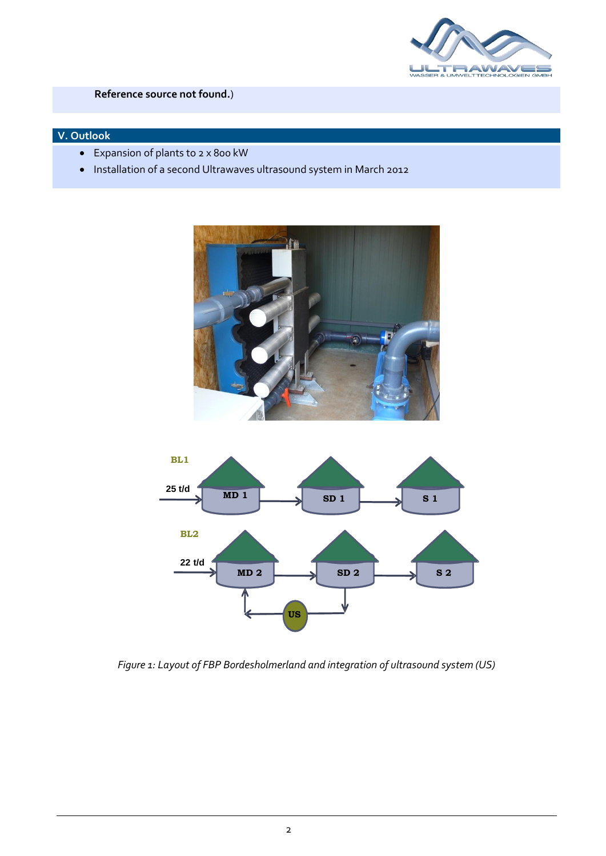

### **Reference source not found.**)

## **V. Outlook**

- Expansion of plants to 2 x 800 kW
- Installation of a second Ultrawaves ultrasound system in March 2012





*Figure 1: Layout of FBP Bordesholmerland and integration of ultrasound system (US)*